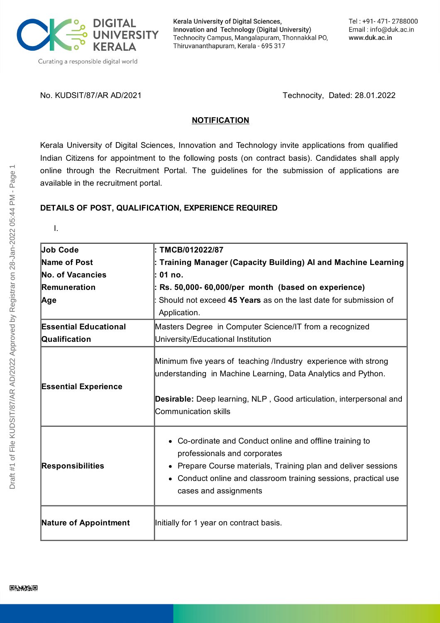

Kerala University of Digital Sciences, Innovation and Technology (Digital University) Technocity Campus, Mangalapuram, Thonnakkal PO, Thiruvananthapuram, Kerala - 695 317

No. KUDSIT/87/AR AD/2021 Technocity, Dated: 28.01.2022

#### **NOTIFICATION**

Kerala University of Digital Sciences, Innovation and Technology invite applications from qualified Indian Citizens for appointment to the following posts (on contract basis). Candidates shall apply online through the Recruitment Portal. The guidelines for the submission of applications are available in the recruitment portal.

#### **DETAILS OF POST, QUALIFICATION, EXPERIENCE REQUIRED**

I.

| <b>Job Code</b>              | : TMCB/012022/87                                                                                                                                                                                                                                        |
|------------------------------|---------------------------------------------------------------------------------------------------------------------------------------------------------------------------------------------------------------------------------------------------------|
| Name of Post                 | : Training Manager (Capacity Building) Al and Machine Learning                                                                                                                                                                                          |
| <b>No. of Vacancies</b>      | l: 01 no.                                                                                                                                                                                                                                               |
| Remuneration                 | $\vert$ : Rs. 50,000- 60,000/per month (based on experience)                                                                                                                                                                                            |
| Age                          | Should not exceed 45 Years as on the last date for submission of                                                                                                                                                                                        |
|                              | Application.                                                                                                                                                                                                                                            |
| <b>Essential Educational</b> | Masters Degree in Computer Science/IT from a recognized                                                                                                                                                                                                 |
| Qualification                | University/Educational Institution                                                                                                                                                                                                                      |
| <b>Essential Experience</b>  | Minimum five years of teaching /Industry experience with strong<br>understanding in Machine Learning, Data Analytics and Python.<br>Desirable: Deep learning, NLP, Good articulation, interpersonal and<br><b>Communication skills</b>                  |
| <b>Responsibilities</b>      | • Co-ordinate and Conduct online and offline training to<br>professionals and corporates<br>Prepare Course materials, Training plan and deliver sessions<br>٠<br>Conduct online and classroom training sessions, practical use<br>cases and assignments |
| <b>Nature of Appointment</b> | Initially for 1 year on contract basis.                                                                                                                                                                                                                 |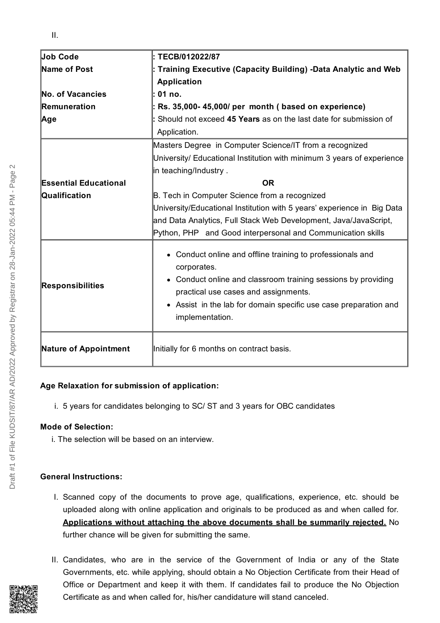| Job Code                     | : TECB/012022/87                                                          |
|------------------------------|---------------------------------------------------------------------------|
| Name of Post                 | Training Executive (Capacity Building) -Data Analytic and Web             |
|                              | <b>Application</b>                                                        |
| No. of Vacancies             | 01 no.                                                                    |
| Remuneration                 | Rs. 35,000-45,000/ per month (based on experience)                        |
| Age                          | Should not exceed 45 Years as on the last date for submission of          |
|                              | Application.                                                              |
|                              | Masters Degree in Computer Science/IT from a recognized                   |
|                              | University/ Educational Institution with minimum 3 years of experience    |
|                              | in teaching/Industry.                                                     |
| <b>Essential Educational</b> | <b>OR</b>                                                                 |
| Qualification                | B. Tech in Computer Science from a recognized                             |
|                              | University/Educational Institution with 5 years' experience in Big Data   |
|                              | and Data Analytics, Full Stack Web Development, Java/JavaScript,          |
|                              | Python, PHP and Good interpersonal and Communication skills               |
|                              | • Conduct online and offline training to professionals and<br>corporates. |
| <b>Responsibilities</b>      | • Conduct online and classroom training sessions by providing             |
|                              | practical use cases and assignments.                                      |
|                              | • Assist in the lab for domain specific use case preparation and          |
|                              | implementation.                                                           |
| <b>Nature of Appointment</b> | Initially for 6 months on contract basis.                                 |

# **Age Relaxation for submission of application:**

i. 5 years for candidates belonging to SC/ ST and 3 years for OBC candidates

# **Mode of Selection:**

i. The selection will be based on an interview.

# **General Instructions:**

- I. Scanned copy of the documents to prove age, qualifications, experience, etc. should be uploaded along with online application and originals to be produced as and when called for. **Applications without attaching the above documents shall be summarily rejected.** No further chance will be given for submitting the same.
- II. Candidates, who are in the service of the Government of India or any of the State Governments, etc. while applying, should obtain a No Objection Certificate from their Head of Office or Department and keep it with them. If candidates fail to produce the No Objection Certificate as and when called for, his/her candidature will stand canceled.

Draft #1 of File KUDSIT/87/AR AD/2022 Approved by Registrar on 28-Jan-2022 05:44 PM - Page 2

Draft #1 of File KUDSIT/87/AR AD/2022 Approved by Registrar on 28-Jan-2022 05:44 PM - Page

 $\sim$